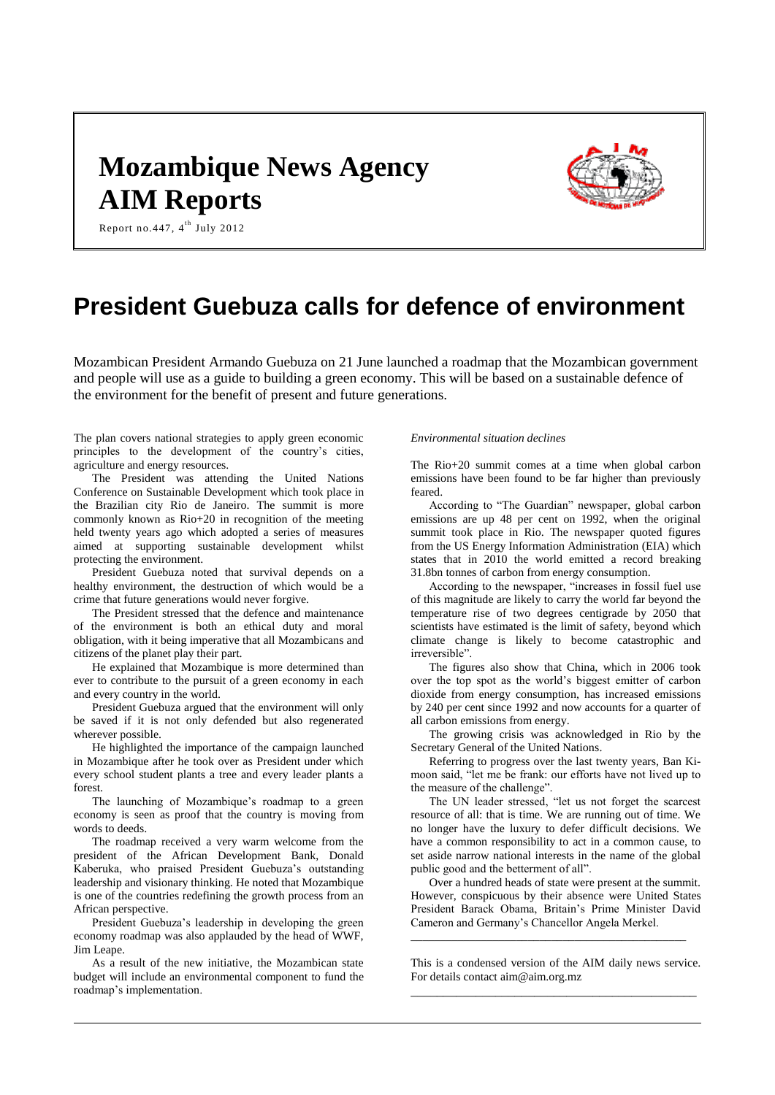# **Mozambique News Agency AIM Reports**



Report no. 447,  $4^{\text{th}}$  July 2012

# **President Guebuza calls for defence of environment**

Mozambican President Armando Guebuza on 21 June launched a roadmap that the Mozambican government and people will use as a guide to building a green economy. This will be based on a sustainable defence of the environment for the benefit of present and future generations.

The plan covers national strategies to apply green economic principles to the development of the country's cities, agriculture and energy resources.

The President was attending the United Nations Conference on Sustainable Development which took place in the Brazilian city Rio de Janeiro. The summit is more commonly known as Rio+20 in recognition of the meeting held twenty years ago which adopted a series of measures aimed at supporting sustainable development whilst protecting the environment.

President Guebuza noted that survival depends on a healthy environment, the destruction of which would be a crime that future generations would never forgive.

The President stressed that the defence and maintenance of the environment is both an ethical duty and moral obligation, with it being imperative that all Mozambicans and citizens of the planet play their part.

He explained that Mozambique is more determined than ever to contribute to the pursuit of a green economy in each and every country in the world.

President Guebuza argued that the environment will only be saved if it is not only defended but also regenerated wherever possible.

He highlighted the importance of the campaign launched in Mozambique after he took over as President under which every school student plants a tree and every leader plants a forest.

The launching of Mozambique's roadmap to a green economy is seen as proof that the country is moving from words to deeds.

The roadmap received a very warm welcome from the president of the African Development Bank, Donald Kaberuka, who praised President Guebuza's outstanding leadership and visionary thinking. He noted that Mozambique is one of the countries redefining the growth process from an African perspective.

President Guebuza's leadership in developing the green economy roadmap was also applauded by the head of WWF, Jim Leape.

As a result of the new initiative, the Mozambican state budget will include an environmental component to fund the roadmap's implementation.

#### *Environmental situation declines*

The Rio+20 summit comes at a time when global carbon emissions have been found to be far higher than previously feared.

According to "The Guardian" newspaper, global carbon emissions are up 48 per cent on 1992, when the original summit took place in Rio. The newspaper quoted figures from the US Energy Information Administration (EIA) which states that in 2010 the world emitted a record breaking 31.8bn tonnes of carbon from energy consumption.

According to the newspaper, "increases in fossil fuel use of this magnitude are likely to carry the world far beyond the temperature rise of two degrees centigrade by 2050 that scientists have estimated is the limit of safety, beyond which climate change is likely to become catastrophic and irreversible".

The figures also show that China, which in 2006 took over the top spot as the world's biggest emitter of carbon dioxide from energy consumption, has increased emissions by 240 per cent since 1992 and now accounts for a quarter of all carbon emissions from energy.

The growing crisis was acknowledged in Rio by the Secretary General of the United Nations.

Referring to progress over the last twenty years, Ban Kimoon said, "let me be frank: our efforts have not lived up to the measure of the challenge".

The UN leader stressed, "let us not forget the scarcest resource of all: that is time. We are running out of time. We no longer have the luxury to defer difficult decisions. We have a common responsibility to act in a common cause, to set aside narrow national interests in the name of the global public good and the betterment of all".

Over a hundred heads of state were present at the summit. However, conspicuous by their absence were United States President Barack Obama, Britain's Prime Minister David Cameron and Germany's Chancellor Angela Merkel.

This is a condensed version of the AIM daily news service. For details contact aim@aim.org.mz \_\_\_\_\_\_\_\_\_\_\_\_\_\_\_\_\_\_\_\_\_\_\_\_\_\_\_\_\_\_\_\_\_\_\_\_\_\_\_\_\_\_\_\_

\_\_\_\_\_\_\_\_\_\_\_\_\_\_\_\_\_\_\_\_\_\_\_\_\_\_\_\_\_\_\_\_\_\_\_\_\_\_\_\_\_\_\_\_\_\_\_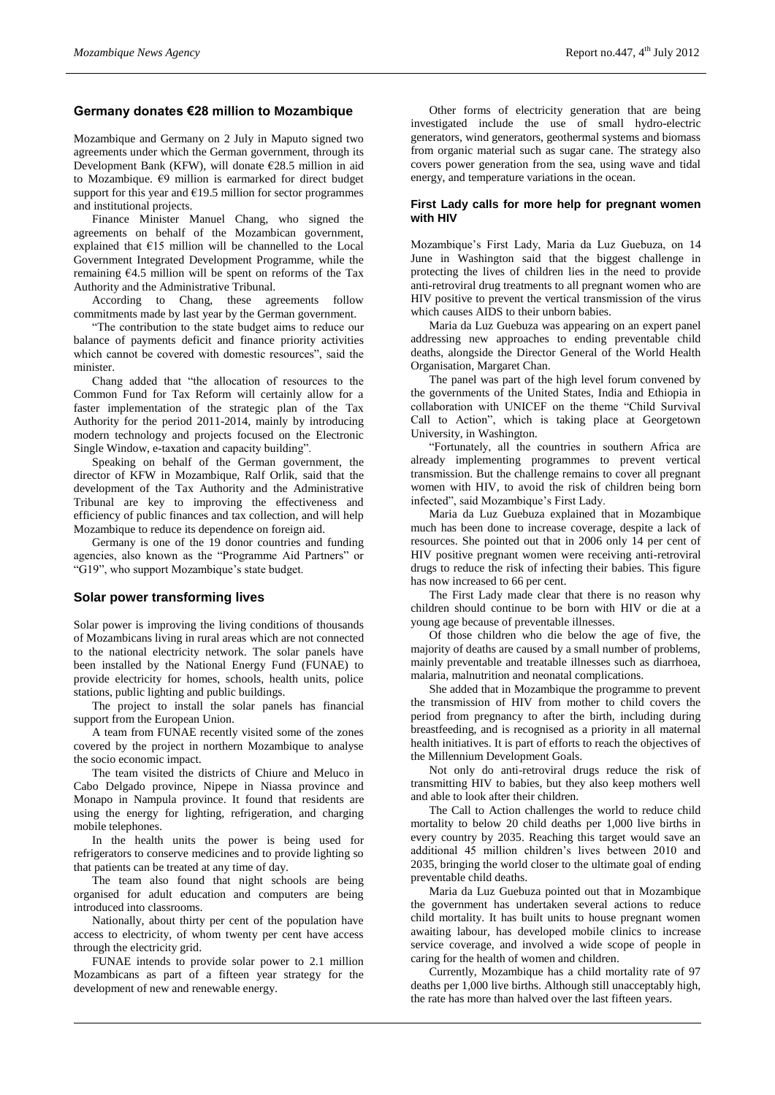## **Germany donates €28 million to Mozambique**

Mozambique and Germany on 2 July in Maputo signed two agreements under which the German government, through its Development Bank (KFW), will donate €28.5 million in aid to Mozambique. €9 million is earmarked for direct budget support for this year and  $£19.5$  million for sector programmes and institutional projects.

Finance Minister Manuel Chang, who signed the agreements on behalf of the Mozambican government, explained that €15 million will be channelled to the Local Government Integrated Development Programme, while the remaining  $64.5$  million will be spent on reforms of the Tax Authority and the Administrative Tribunal.

According to Chang, these agreements follow commitments made by last year by the German government.

"The contribution to the state budget aims to reduce our balance of payments deficit and finance priority activities which cannot be covered with domestic resources", said the minister.

Chang added that "the allocation of resources to the Common Fund for Tax Reform will certainly allow for a faster implementation of the strategic plan of the Tax Authority for the period 2011-2014, mainly by introducing modern technology and projects focused on the Electronic Single Window, e-taxation and capacity building".

Speaking on behalf of the German government, the director of KFW in Mozambique, Ralf Orlik, said that the development of the Tax Authority and the Administrative Tribunal are key to improving the effectiveness and efficiency of public finances and tax collection, and will help Mozambique to reduce its dependence on foreign aid.

Germany is one of the 19 donor countries and funding agencies, also known as the "Programme Aid Partners" or "G19", who support Mozambique's state budget.

## **Solar power transforming lives**

Solar power is improving the living conditions of thousands of Mozambicans living in rural areas which are not connected to the national electricity network. The solar panels have been installed by the National Energy Fund (FUNAE) to provide electricity for homes, schools, health units, police stations, public lighting and public buildings.

The project to install the solar panels has financial support from the European Union.

A team from FUNAE recently visited some of the zones covered by the project in northern Mozambique to analyse the socio economic impact.

The team visited the districts of Chiure and Meluco in Cabo Delgado province, Nipepe in Niassa province and Monapo in Nampula province. It found that residents are using the energy for lighting, refrigeration, and charging mobile telephones.

In the health units the power is being used for refrigerators to conserve medicines and to provide lighting so that patients can be treated at any time of day.

The team also found that night schools are being organised for adult education and computers are being introduced into classrooms.

Nationally, about thirty per cent of the population have access to electricity, of whom twenty per cent have access through the electricity grid.

FUNAE intends to provide solar power to 2.1 million Mozambicans as part of a fifteen year strategy for the development of new and renewable energy.

Other forms of electricity generation that are being investigated include the use of small hydro-electric generators, wind generators, geothermal systems and biomass from organic material such as sugar cane. The strategy also covers power generation from the sea, using wave and tidal energy, and temperature variations in the ocean.

#### **First Lady calls for more help for pregnant women with HIV**

Mozambique's First Lady, Maria da Luz Guebuza, on 14 June in Washington said that the biggest challenge in protecting the lives of children lies in the need to provide anti-retroviral drug treatments to all pregnant women who are HIV positive to prevent the vertical transmission of the virus which causes AIDS to their unborn babies.

Maria da Luz Guebuza was appearing on an expert panel addressing new approaches to ending preventable child deaths, alongside the Director General of the World Health Organisation, Margaret Chan.

The panel was part of the high level forum convened by the governments of the United States, India and Ethiopia in collaboration with UNICEF on the theme "Child Survival Call to Action", which is taking place at Georgetown University, in Washington.

"Fortunately, all the countries in southern Africa are already implementing programmes to prevent vertical transmission. But the challenge remains to cover all pregnant women with HIV, to avoid the risk of children being born infected", said Mozambique's First Lady.

Maria da Luz Guebuza explained that in Mozambique much has been done to increase coverage, despite a lack of resources. She pointed out that in 2006 only 14 per cent of HIV positive pregnant women were receiving anti-retroviral drugs to reduce the risk of infecting their babies. This figure has now increased to 66 per cent.

The First Lady made clear that there is no reason why children should continue to be born with HIV or die at a young age because of preventable illnesses.

Of those children who die below the age of five, the majority of deaths are caused by a small number of problems, mainly preventable and treatable illnesses such as diarrhoea, malaria, malnutrition and neonatal complications.

She added that in Mozambique the programme to prevent the transmission of HIV from mother to child covers the period from pregnancy to after the birth, including during breastfeeding, and is recognised as a priority in all maternal health initiatives. It is part of efforts to reach the objectives of the Millennium Development Goals.

Not only do anti-retroviral drugs reduce the risk of transmitting HIV to babies, but they also keep mothers well and able to look after their children.

The Call to Action challenges the world to reduce child mortality to below 20 child deaths per 1,000 live births in every country by 2035. Reaching this target would save an additional 45 million children's lives between 2010 and 2035, bringing the world closer to the ultimate goal of ending preventable child deaths.

Maria da Luz Guebuza pointed out that in Mozambique the government has undertaken several actions to reduce child mortality. It has built units to house pregnant women awaiting labour, has developed mobile clinics to increase service coverage, and involved a wide scope of people in caring for the health of women and children.

Currently, Mozambique has a child mortality rate of 97 deaths per 1,000 live births. Although still unacceptably high, the rate has more than halved over the last fifteen years.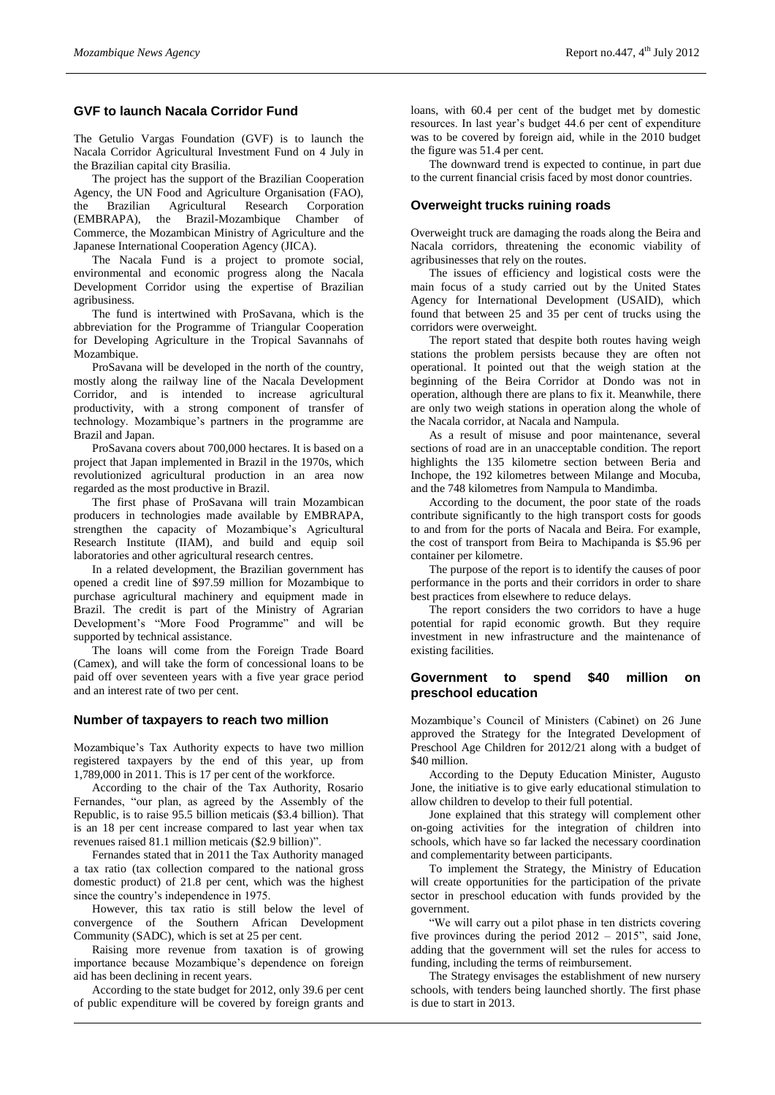# **GVF to launch Nacala Corridor Fund**

The Getulio Vargas Foundation (GVF) is to launch the Nacala Corridor Agricultural Investment Fund on 4 July in the Brazilian capital city Brasilia.

The project has the support of the Brazilian Cooperation Agency, the UN Food and Agriculture Organisation (FAO), the Brazilian Agricultural Research Corporation (EMBRAPA), the Brazil-Mozambique Chamber of Commerce, the Mozambican Ministry of Agriculture and the Japanese International Cooperation Agency (JICA).

The Nacala Fund is a project to promote social, environmental and economic progress along the Nacala Development Corridor using the expertise of Brazilian agribusiness.

The fund is intertwined with ProSavana, which is the abbreviation for the Programme of Triangular Cooperation for Developing Agriculture in the Tropical Savannahs of Mozambique.

ProSavana will be developed in the north of the country, mostly along the railway line of the Nacala Development Corridor, and is intended to increase agricultural productivity, with a strong component of transfer of technology. Mozambique's partners in the programme are Brazil and Japan.

ProSavana covers about 700,000 hectares. It is based on a project that Japan implemented in Brazil in the 1970s, which revolutionized agricultural production in an area now regarded as the most productive in Brazil.

The first phase of ProSavana will train Mozambican producers in technologies made available by EMBRAPA, strengthen the capacity of Mozambique's Agricultural Research Institute (IIAM), and build and equip soil laboratories and other agricultural research centres.

In a related development, the Brazilian government has opened a credit line of \$97.59 million for Mozambique to purchase agricultural machinery and equipment made in Brazil. The credit is part of the Ministry of Agrarian Development's "More Food Programme" and will be supported by technical assistance.

The loans will come from the Foreign Trade Board (Camex), and will take the form of concessional loans to be paid off over seventeen years with a five year grace period and an interest rate of two per cent.

## **Number of taxpayers to reach two million**

Mozambique's Tax Authority expects to have two million registered taxpayers by the end of this year, up from 1,789,000 in 2011. This is 17 per cent of the workforce.

According to the chair of the Tax Authority, Rosario Fernandes, "our plan, as agreed by the Assembly of the Republic, is to raise 95.5 billion meticais (\$3.4 billion). That is an 18 per cent increase compared to last year when tax revenues raised 81.1 million meticais (\$2.9 billion)".

Fernandes stated that in 2011 the Tax Authority managed a tax ratio (tax collection compared to the national gross domestic product) of 21.8 per cent, which was the highest since the country's independence in 1975.

However, this tax ratio is still below the level of convergence of the Southern African Development Community (SADC), which is set at 25 per cent.

Raising more revenue from taxation is of growing importance because Mozambique's dependence on foreign aid has been declining in recent years.

According to the state budget for 2012, only 39.6 per cent of public expenditure will be covered by foreign grants and

loans, with 60.4 per cent of the budget met by domestic resources. In last year's budget 44.6 per cent of expenditure was to be covered by foreign aid, while in the 2010 budget the figure was 51.4 per cent.

The downward trend is expected to continue, in part due to the current financial crisis faced by most donor countries.

#### **Overweight trucks ruining roads**

Overweight truck are damaging the roads along the Beira and Nacala corridors, threatening the economic viability of agribusinesses that rely on the routes.

The issues of efficiency and logistical costs were the main focus of a study carried out by the United States Agency for International Development (USAID), which found that between 25 and 35 per cent of trucks using the corridors were overweight.

The report stated that despite both routes having weigh stations the problem persists because they are often not operational. It pointed out that the weigh station at the beginning of the Beira Corridor at Dondo was not in operation, although there are plans to fix it. Meanwhile, there are only two weigh stations in operation along the whole of the Nacala corridor, at Nacala and Nampula.

As a result of misuse and poor maintenance, several sections of road are in an unacceptable condition. The report highlights the 135 kilometre section between Beria and Inchope, the 192 kilometres between Milange and Mocuba, and the 748 kilometres from Nampula to Mandimba.

According to the document, the poor state of the roads contribute significantly to the high transport costs for goods to and from for the ports of Nacala and Beira. For example, the cost of transport from Beira to Machipanda is \$5.96 per container per kilometre.

The purpose of the report is to identify the causes of poor performance in the ports and their corridors in order to share best practices from elsewhere to reduce delays.

The report considers the two corridors to have a huge potential for rapid economic growth. But they require investment in new infrastructure and the maintenance of existing facilities.

#### **Government to spend \$40 million on preschool education**

Mozambique's Council of Ministers (Cabinet) on 26 June approved the Strategy for the Integrated Development of Preschool Age Children for 2012/21 along with a budget of \$40 million.

According to the Deputy Education Minister, Augusto Jone, the initiative is to give early educational stimulation to allow children to develop to their full potential.

Jone explained that this strategy will complement other on-going activities for the integration of children into schools, which have so far lacked the necessary coordination and complementarity between participants.

To implement the Strategy, the Ministry of Education will create opportunities for the participation of the private sector in preschool education with funds provided by the government.

"We will carry out a pilot phase in ten districts covering five provinces during the period 2012 – 2015", said Jone, adding that the government will set the rules for access to funding, including the terms of reimbursement.

The Strategy envisages the establishment of new nursery schools, with tenders being launched shortly. The first phase is due to start in 2013.